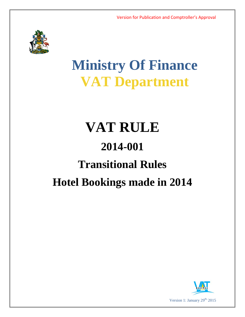

# **Ministry Of Finance VAT Department**

# **VAT RULE 2014-001 Transitional Rules Hotel Bookings made in 2014**

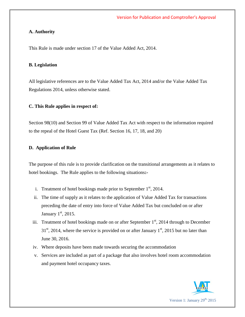### **A. Authority**

This Rule is made under section 17 of the Value Added Act, 2014.

#### **B. Legislation**

All legislative references are to the Value Added Tax Act, 2014 and/or the Value Added Tax Regulations 2014, unless otherwise stated.

# **C. This Rule applies in respect of:**

Section 98(10) and Section 99 of Value Added Tax Act with respect to the information required to the repeal of the Hotel Guest Tax (Ref. Section 16, 17, 18, and 20)

#### **D. Application of Rule**

The purpose of this rule is to provide clarification on the transitional arrangements as it relates to hotel bookings. The Rule applies to the following situations**:-**

- i. Treatment of hotel bookings made prior to September  $1<sup>st</sup>$ , 2014.
- ii. The time of supply as it relates to the application of Value Added Tax for transactions preceding the date of entry into force of Value Added Tax but concluded on or after January  $1<sup>st</sup>$ , 2015.
- iii. Treatment of hotel bookings made on or after September  $1<sup>st</sup>$ , 2014 through to December  $31<sup>st</sup>$ , 2014, where the service is provided on or after January  $1<sup>st</sup>$ , 2015 but no later than June 30, 2016.
- iv. Where deposits have been made towards securing the accommodation
- v. Services are included as part of a package that also involves hotel room accommodation and payment hotel occupancy taxes.